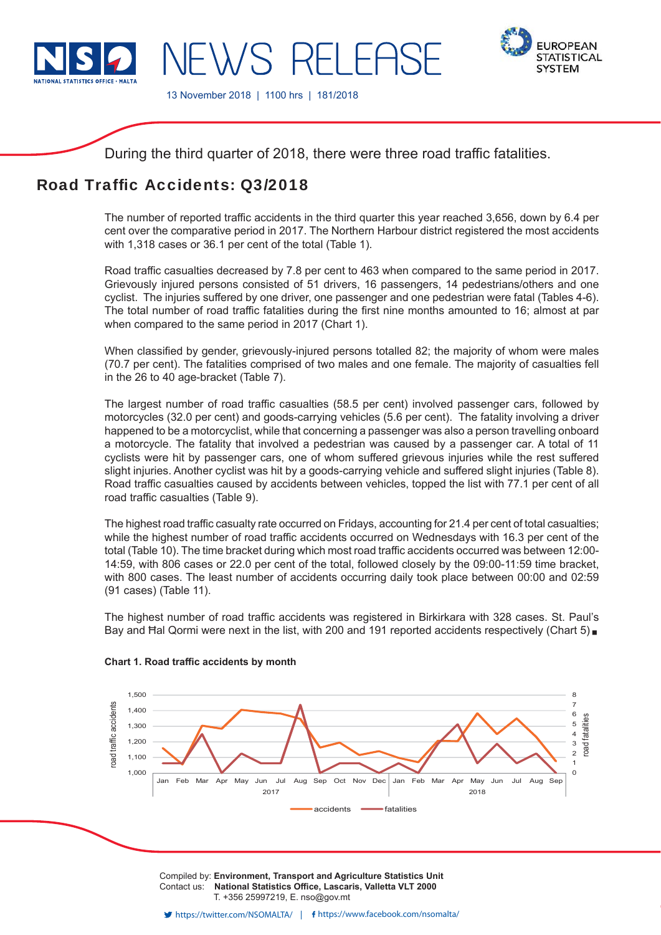

IFWS RFI FAS



13 November 2018 | 1100 hrs | 181/2018

During the third quarter of 2018, there were three road traffic fatalities.

# Road Traffic Accidents: 03/2018

The number of reported traffic accidents in the third quarter this year reached 3,656, down by 6.4 per cent over the comparative period in 2017. The Northern Harbour district registered the most accidents with 1,318 cases or 36.1 per cent of the total (Table 1).

Road traffic casualties decreased by 7.8 per cent to 463 when compared to the same period in 2017. Grievously injured persons consisted of 51 drivers, 16 passengers, 14 pedestrians/others and one cyclist. The injuries suffered by one driver, one passenger and one pedestrian were fatal (Tables 4-6). The total number of road traffic fatalities during the first nine months amounted to 16; almost at par when compared to the same period in 2017 (Chart 1).

When classified by gender, grievously-injured persons totalled 82; the majority of whom were males (70.7 per cent). The fatalities comprised of two males and one female. The majority of casualties fell in the 26 to 40 age-bracket (Table 7).

The largest number of road traffic casualties (58.5 per cent) involved passenger cars, followed by motorcycles (32.0 per cent) and goods-carrying vehicles (5.6 per cent). The fatality involving a driver happened to be a motorcyclist, while that concerning a passenger was also a person travelling onboard a motorcycle. The fatality that involved a pedestrian was caused by a passenger car. A total of 11 cyclists were hit by passenger cars, one of whom suffered grievous injuries while the rest suffered slight injuries. Another cyclist was hit by a goods-carrying vehicle and suffered slight injuries (Table 8). Road traffic casualties caused by accidents between vehicles, topped the list with 77.1 per cent of all road traffic casualties (Table 9).

The highest road traffic casualty rate occurred on Fridays, accounting for 21.4 per cent of total casualties; while the highest number of road traffic accidents occurred on Wednesdays with 16.3 per cent of the total (Table 10). The time bracket during which most road traffic accidents occurred was between 12:00-14:59, with 806 cases or 22.0 per cent of the total, followed closely by the 09:00-11:59 time bracket, with 800 cases. The least number of accidents occurring daily took place between 00:00 and 02:59 (91 cases) (Table 11).

The highest number of road traffic accidents was registered in Birkirkara with 328 cases. St. Paul's Bay and Hal Qormi were next in the list, with 200 and 191 reported accidents respectively (Chart 5)



# **Chart 1. Road traffic accidents by month**

Compiled by: **Environment, Transport and Agriculture Statistics Unit** Contact us: National Statistics Office, Lascaris, Valletta VLT 2000 T. +356 25997219, E. nso@gov.mt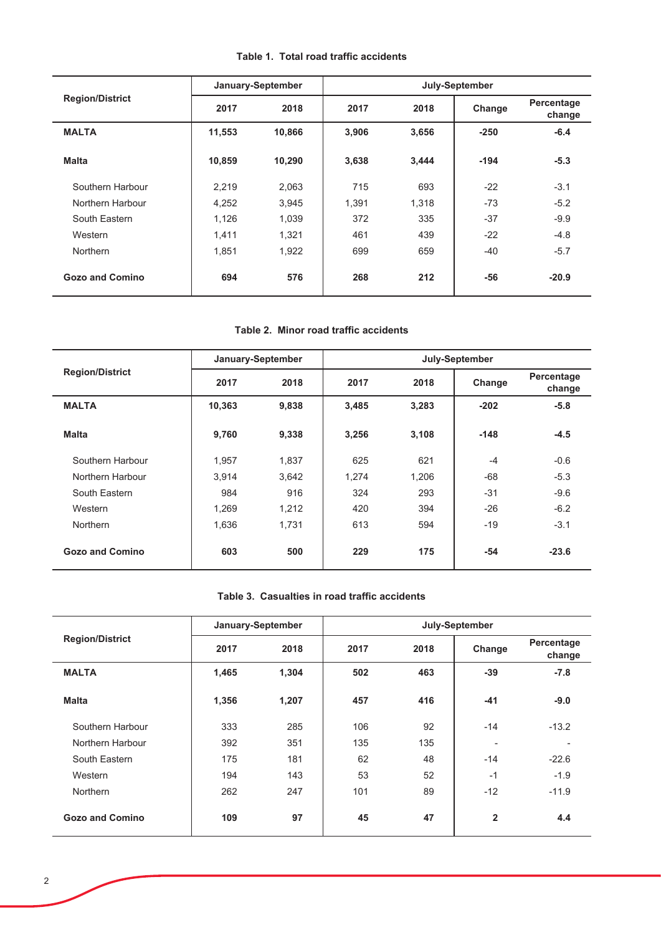|  |  |  |  |  |  | Table 1. Total road traffic accidents |
|--|--|--|--|--|--|---------------------------------------|
|--|--|--|--|--|--|---------------------------------------|

|                        |              | January-September |       |       | July-September |                      |
|------------------------|--------------|-------------------|-------|-------|----------------|----------------------|
| <b>Region/District</b> | 2018<br>2017 |                   | 2017  | 2018  |                | Percentage<br>change |
| <b>MALTA</b>           | 11,553       | 10,866            | 3,906 | 3,656 | $-250$         | $-6.4$               |
| <b>Malta</b>           | 10,859       | 10,290            | 3,638 | 3,444 | $-194$         | $-5.3$               |
| Southern Harbour       | 2,219        | 2,063             | 715   | 693   | $-22$          | $-3.1$               |
| Northern Harbour       | 4,252        | 3,945             | 1,391 | 1,318 | $-73$          | $-5.2$               |
| South Eastern          | 1,126        | 1,039             | 372   | 335   | $-37$          | $-9.9$               |
| Western                | 1,411        | 1,321             | 461   | 439   | $-22$          | $-4.8$               |
| <b>Northern</b>        | 1,851        | 1,922             | 699   | 659   | $-40$          | $-5.7$               |
| <b>Gozo and Comino</b> | 694          | 576               | 268   | 212   | $-56$          | $-20.9$              |

## Table 2. Minor road traffic accidents

|                        |              | January-September | July-September |       |        |                      |  |  |
|------------------------|--------------|-------------------|----------------|-------|--------|----------------------|--|--|
| <b>Region/District</b> | 2018<br>2017 |                   | 2017           | 2018  | Change | Percentage<br>change |  |  |
| <b>MALTA</b>           | 10,363       | 9,838             | 3,485          | 3,283 | $-202$ | $-5.8$               |  |  |
| <b>Malta</b>           | 9,760        | 9,338             | 3,256          | 3,108 | $-148$ | $-4.5$               |  |  |
| Southern Harbour       | 1,957        | 1,837             | 625            | 621   | $-4$   | $-0.6$               |  |  |
| Northern Harbour       | 3,914        | 3,642             | 1,274          | 1,206 | $-68$  | $-5.3$               |  |  |
| South Eastern          | 984          | 916               | 324            | 293   | $-31$  | $-9.6$               |  |  |
| Western                | 1,269        | 1,212             | 420            | 394   | $-26$  | $-6.2$               |  |  |
| <b>Northern</b>        | 1,636        | 1,731             | 613            | 594   | $-19$  | $-3.1$               |  |  |
| <b>Gozo and Comino</b> | 603          | 500               | 229            | 175   | $-54$  | $-23.6$              |  |  |

# Table 3. Casualties in road traffic accidents

|                        |       | January-September |      |      | July-September           |                      |
|------------------------|-------|-------------------|------|------|--------------------------|----------------------|
| <b>Region/District</b> | 2017  | 2018              | 2017 | 2018 | Change                   | Percentage<br>change |
| <b>MALTA</b>           | 1,465 | 1,304             | 502  | 463  | $-39$                    | $-7.8$               |
| <b>Malta</b>           | 1,356 | 1,207             | 457  | 416  | $-41$                    | $-9.0$               |
| Southern Harbour       | 333   | 285               | 106  | 92   | $-14$                    | $-13.2$              |
| Northern Harbour       | 392   | 351               | 135  | 135  | $\overline{\phantom{a}}$ |                      |
| South Eastern          | 175   | 181               | 62   | 48   | $-14$                    | $-22.6$              |
| Western                | 194   | 143               | 53   | 52   | $-1$                     | $-1.9$               |
| <b>Northern</b>        | 262   | 247               | 101  | 89   | $-12$                    | $-11.9$              |
| <b>Gozo and Comino</b> | 109   | 97                | 45   | 47   | $\overline{2}$           | 4.4                  |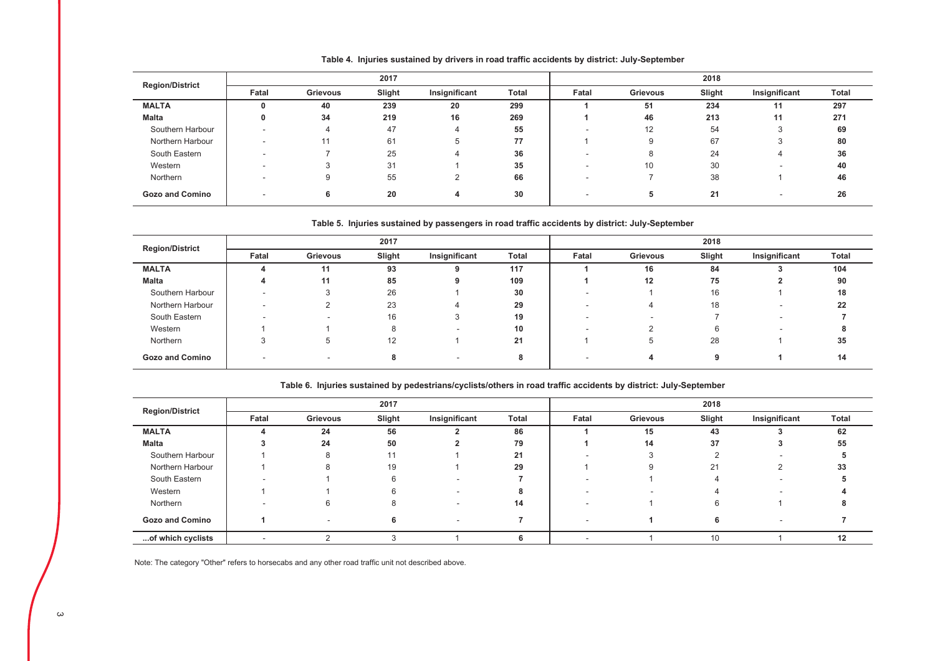| <b>Region/District</b> |                          |          | 2017   |               |       |       |          | 2018   |                          |              |
|------------------------|--------------------------|----------|--------|---------------|-------|-------|----------|--------|--------------------------|--------------|
|                        | Fatal                    | Grievous | Slight | Insignificant | Total | Fatal | Grievous | Slight | Insignificant            | <b>Total</b> |
| <b>MALTA</b>           |                          | 40       | 239    | 20            | 299   |       | 51       | 234    | 11                       | 297          |
| Malta                  |                          | 34       | 219    | 16            | 269   |       | 46       | 213    | 11                       | 271          |
| Southern Harbour       | $\overline{\phantom{a}}$ |          | 47     |               | 55    |       | 12       | 54     |                          | 69           |
| Northern Harbour       | -                        |          | 61     | b             | 77    |       |          | 67     | $\sim$<br>-3             | 80           |
| South Eastern          | $\overline{\phantom{a}}$ |          | 25     |               | 36    |       | Ο        | 24     | 4                        | 36           |
| Western                | -                        |          | 31     |               | 35    |       | 10       | 30     |                          | 40           |
| Northern               |                          |          | 55     |               | 66    |       |          | 38     |                          | 46           |
| <b>Gozo and Comino</b> |                          |          | 20     |               | 30    |       | O        | 21     | $\overline{\phantom{a}}$ | 26           |

Table 4. Injuries sustained by drivers in road traffic accidents by district: July-September

#### Table 5. Injuries sustained by passengers in road traffic accidents by district: July-September

| <b>Region/District</b> |       |          | 2017   |               |              | 2018  |                          |        |                          |       |  |
|------------------------|-------|----------|--------|---------------|--------------|-------|--------------------------|--------|--------------------------|-------|--|
|                        | Fatal | Grievous | Slight | Insignificant | <b>Total</b> | Fatal | Grievous                 | Slight | Insignificant            | Total |  |
| <b>MALTA</b>           |       | 11       | 93     | 9             | 117          |       | 16                       | 84     |                          | 104   |  |
| Malta                  |       | 11       | 85     | 9             | 109          |       | 12                       | 75     |                          | 90    |  |
| Southern Harbour       |       |          | 26     |               | 30           |       |                          | 16     |                          | 18    |  |
| Northern Harbour       |       |          | 23     |               | 29           |       | 4                        | 18     |                          | 22    |  |
| South Eastern          |       |          | 16     |               | 19           |       | $\overline{\phantom{a}}$ |        | $\overline{\phantom{a}}$ |       |  |
| Western                |       |          | 8      |               | 10           |       | ◠                        |        |                          |       |  |
| Northern               |       |          | 12     |               | 21           |       | <sub>5</sub>             | 28     |                          | 35    |  |
| <b>Gozo and Comino</b> |       |          | 8      |               |              |       | 4                        | 9      |                          | 14    |  |

#### Table 6. Injuries sustained by pedestrians/cyclists/others in road traffic accidents by district: July-September

| <b>Region/District</b> |        |          | 2017   |               |       |       |          | 2018           |               |              |
|------------------------|--------|----------|--------|---------------|-------|-------|----------|----------------|---------------|--------------|
|                        | Fatal  | Grievous | Slight | Insignificant | Total | Fatal | Grievous | Slight         | Insignificant | <b>Total</b> |
| <b>MALTA</b>           |        | 24       | 56     |               | 86    |       | 15       | 43             |               | 62           |
| Malta                  |        | 24       | 50     |               | 79    |       | 14       | 37             |               | 55           |
| Southern Harbour       |        | 8        |        |               | 21    |       |          |                |               |              |
| Northern Harbour       |        | 8        | 19     |               | 29    |       |          | 2 <sup>1</sup> |               | 33           |
| South Eastern          |        |          |        |               |       |       |          |                | -             |              |
| Western                |        |          |        |               |       |       |          |                |               |              |
| Northern               |        | 6        |        |               | 14    |       |          |                |               |              |
| <b>Gozo and Comino</b> |        |          |        |               |       |       |          |                |               |              |
| of which cyclists      | $\sim$ |          |        |               |       |       |          | 10             |               | 12           |

Note: The category "Other" refers to horsecabs and any other road traffic unit not described above.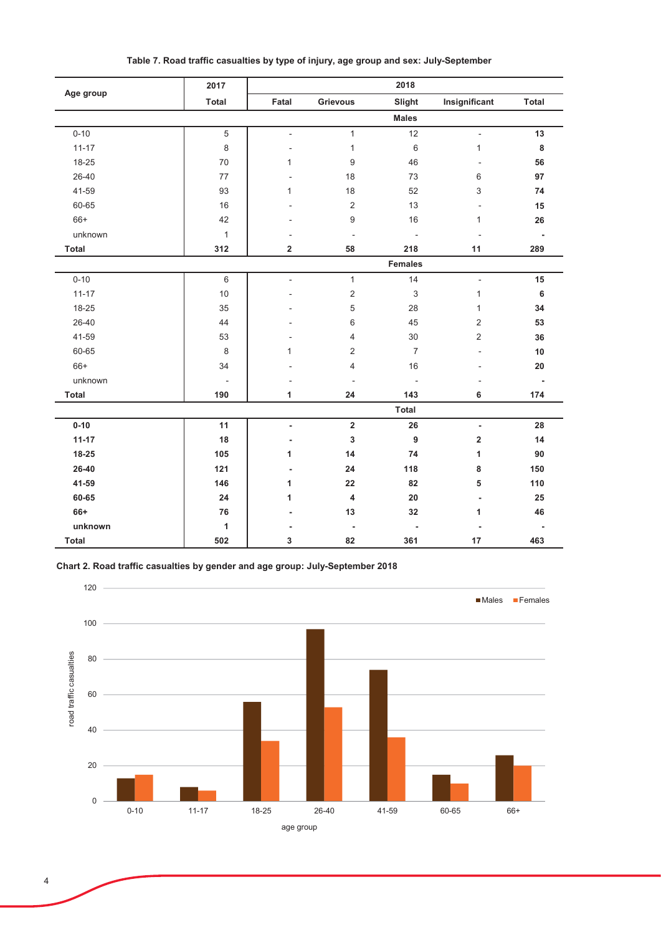|              | 2017                     |                          |                          | 2018                     |                          |                          |
|--------------|--------------------------|--------------------------|--------------------------|--------------------------|--------------------------|--------------------------|
| Age group    | Total                    | Fatal                    | <b>Grievous</b>          | Slight                   | Insignificant            | <b>Total</b>             |
|              |                          |                          |                          | <b>Males</b>             |                          |                          |
| $0 - 10$     | $\overline{5}$           | L.                       | $\mathbf{1}$             | 12                       | $\overline{a}$           | 13                       |
| $11 - 17$    | 8                        | ÷                        | $\mathbf{1}$             | 6                        | $\mathbf{1}$             | 8                        |
| 18-25        | 70                       | $\mathbf{1}$             | 9                        | 46                       | $\overline{a}$           | 56                       |
| 26-40        | 77                       |                          | 18                       | 73                       | 6                        | 97                       |
| 41-59        | 93                       | $\mathbf{1}$             | 18                       | 52                       | 3                        | 74                       |
| 60-65        | 16                       |                          | $\overline{2}$           | 13                       | $\overline{\phantom{a}}$ | 15                       |
| $66+$        | 42                       |                          | 9                        | 16                       | 1                        | 26                       |
| unknown      | $\mathbf{1}$             |                          | ÷                        | $\bar{a}$                | ÷,                       | $\blacksquare$           |
| Total        | 312                      | $\overline{\mathbf{2}}$  | 58                       | 218                      | 11                       | 289                      |
|              |                          |                          |                          | <b>Females</b>           |                          |                          |
| $0 - 10$     | 6                        | $\overline{\phantom{a}}$ | $\mathbf{1}$             | 14                       | $\blacksquare$           | 15                       |
| $11 - 17$    | 10                       |                          | $\mathbf 2$              | 3                        | $\mathbf{1}$             | 6                        |
| 18-25        | 35                       |                          | 5                        | 28                       | 1                        | 34                       |
| 26-40        | 44                       |                          | 6                        | 45                       | 2                        | 53                       |
| 41-59        | 53                       |                          | 4                        | 30                       | $\overline{2}$           | 36                       |
| 60-65        | $\,8\,$                  | 1                        | 2                        | $\overline{7}$           | L,                       | 10                       |
| $66+$        | 34                       |                          | 4                        | 16                       | $\overline{a}$           | 20                       |
| unknown      | $\overline{\phantom{a}}$ |                          | ÷                        | $\overline{\phantom{a}}$ | $\overline{\phantom{a}}$ | $\overline{\phantom{a}}$ |
| <b>Total</b> | 190                      | 1                        | 24                       | 143                      | 6                        | 174                      |
|              |                          |                          |                          | Total                    |                          |                          |
| $0 - 10$     | 11                       | $\overline{a}$           | $\overline{\mathbf{2}}$  | 26                       | $\blacksquare$           | 28                       |
| $11 - 17$    | 18                       | $\overline{a}$           | 3                        | 9                        | 2                        | 14                       |
| 18-25        | 105                      | 1                        | 14                       | 74                       | 1                        | 90                       |
| 26-40        | 121                      | $\overline{a}$           | 24                       | 118                      | 8                        | 150                      |
| 41-59        | 146                      | 1                        | 22                       | 82                       | 5                        | 110                      |
| 60-65        | 24                       | 1                        | 4                        | 20                       | $\blacksquare$           | 25                       |
| 66+          | 76                       |                          | 13                       | 32                       | 1                        | 46                       |
| unknown      | 1                        |                          | $\overline{\phantom{a}}$ | $\blacksquare$           |                          |                          |
| Total        | 502                      | 3                        | 82                       | 361                      | 17                       | 463                      |

Table 7. Road traffic casualties by type of injury, age group and sex: July-September

Chart 2. Road traffic casualties by gender and age group: July-September 2018

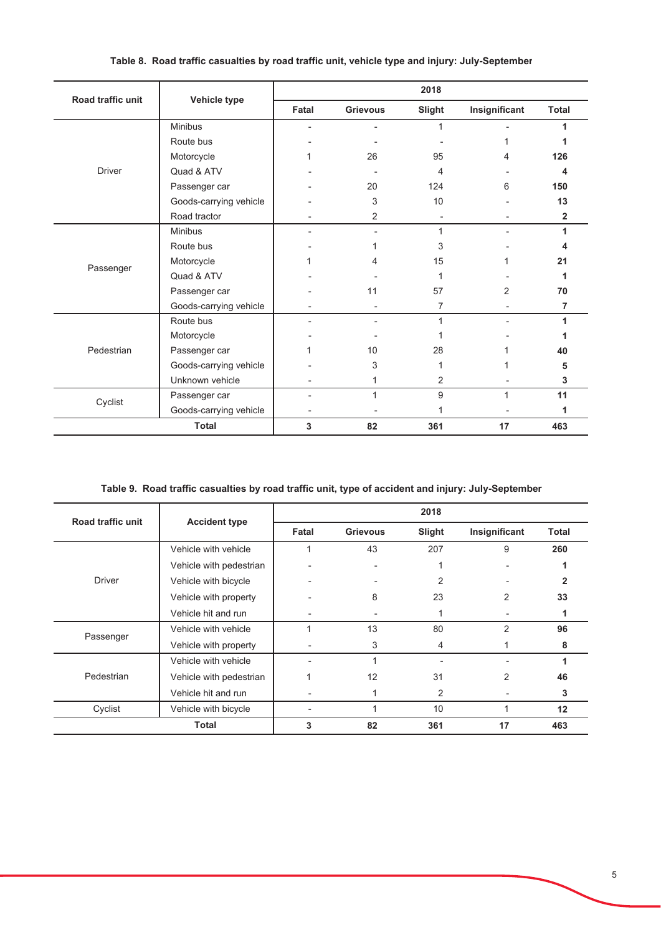| Road traffic unit |                        |       |                 | 2018   |                |                         |
|-------------------|------------------------|-------|-----------------|--------|----------------|-------------------------|
|                   | Vehicle type           | Fatal | <b>Grievous</b> | Slight | Insignificant  | <b>Total</b>            |
|                   | <b>Minibus</b>         |       |                 | 1      |                | 1                       |
|                   | Route bus              |       |                 |        |                |                         |
|                   | Motorcycle             |       | 26              | 95     | 4              | 126                     |
| <b>Driver</b>     | Quad & ATV             |       |                 | 4      |                | 4                       |
|                   | Passenger car          |       | 20              | 124    | 6              | 150                     |
|                   | Goods-carrying vehicle |       | 3               | 10     |                | 13                      |
|                   | Road tractor           |       | 2               |        |                | $\overline{\mathbf{2}}$ |
|                   | <b>Minibus</b>         |       |                 | 1      |                | 1                       |
|                   | Route bus              |       |                 | 3      |                |                         |
|                   | Motorcycle             |       |                 | 15     |                | 21                      |
| Passenger         | Quad & ATV             |       |                 | 1      |                |                         |
|                   | Passenger car          |       | 11              | 57     | 2              | 70                      |
|                   | Goods-carrying vehicle |       |                 | 7      |                | 7                       |
|                   | Route bus              |       |                 | 1      | $\overline{a}$ | 1                       |
|                   | Motorcycle             |       |                 |        |                |                         |
| Pedestrian        | Passenger car          |       | 10              | 28     |                | 40                      |
|                   | Goods-carrying vehicle |       | 3               | 1      |                | 5                       |
|                   | Unknown vehicle        |       |                 | 2      |                | 3                       |
|                   | Passenger car          |       | 1               | 9      | 1              | 11                      |
| Cyclist           | Goods-carrying vehicle |       |                 | 1      |                | 1                       |
|                   | <b>Total</b>           | 3     | 82              | 361    | 17             | 463                     |

# Table 8. Road traffic casualties by road traffic unit, vehicle type and injury: July-September

Table 9. Road traffic casualties by road traffic unit, type of accident and injury: July-September

| Road traffic unit |                         |       |                 | 2018            |                |              |
|-------------------|-------------------------|-------|-----------------|-----------------|----------------|--------------|
|                   | <b>Accident type</b>    | Fatal | <b>Grievous</b> | Slight          | Insignificant  | <b>Total</b> |
|                   | Vehicle with vehicle    |       | 43              | 207             | 9              | 260          |
|                   | Vehicle with pedestrian |       | ٠               |                 |                |              |
| <b>Driver</b>     | Vehicle with bicycle    |       |                 | 2               |                |              |
|                   | Vehicle with property   |       | 8               | 23              | 2              | 33           |
|                   | Vehicle hit and run     |       |                 |                 |                |              |
| Passenger         | Vehicle with vehicle    |       | 13              | 80              | 2              | 96           |
|                   | Vehicle with property   |       | 3               | 4               |                | 8            |
|                   | Vehicle with vehicle    |       |                 |                 |                | 1            |
| Pedestrian        | Vehicle with pedestrian |       | 12              | 31              | $\overline{2}$ | 46           |
|                   | Vehicle hit and run     |       |                 | 2               |                | 3            |
| Cyclist           | Vehicle with bicycle    |       |                 | 10 <sup>°</sup> |                | 12           |
|                   | <b>Total</b>            | 3     | 82              | 361             | 17             | 463          |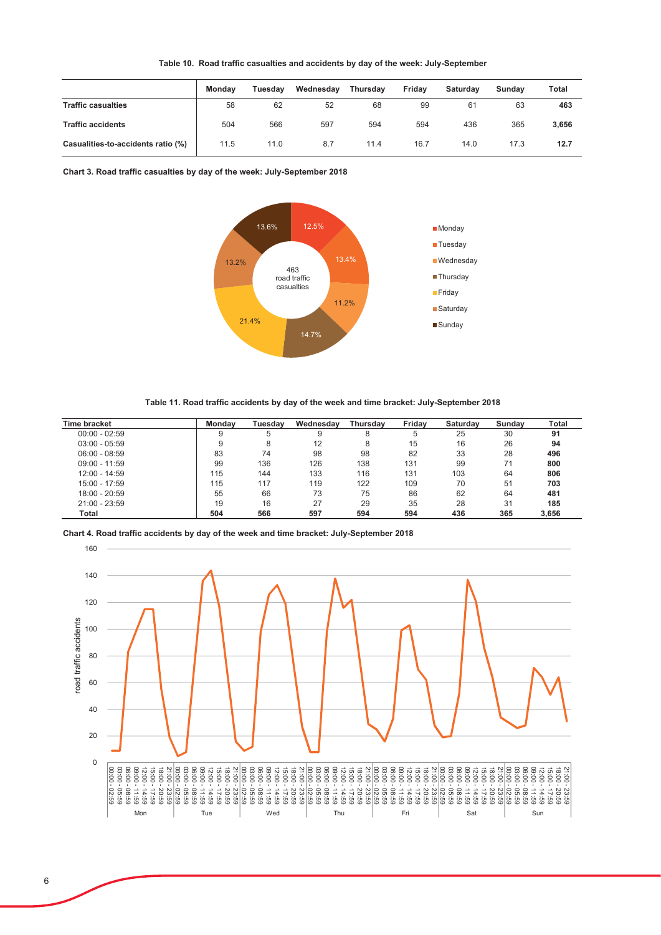|                                    | Mondav | Tuesday | Wednesday | <b>Thursdav</b> | Friday | Saturdav | Sundav | Total |
|------------------------------------|--------|---------|-----------|-----------------|--------|----------|--------|-------|
| <b>Traffic casualties</b>          | 58     | 62      | 52        | 68              | 99     | 61       | 63     | 463   |
| <b>Traffic accidents</b>           | 504    | 566     | 597       | 594             | 594    | 436      | 365    | 3,656 |
| Casualities-to-accidents ratio (%) | 11.5   | 11.0    | 8.7       | 11.4            | 16.7   | 14.0     | 17.3   | 12.7  |

Table 10. Road traffic casualties and accidents by day of the week: July-September

Chart 3. Road traffic casualties by day of the week: July-September 2018



Table 11. Road traffic accidents by day of the week and time bracket: July-September 2018

| <b>Time bracket</b> | Mondav | Tuesdav | Wednesday | Thursday | Fridav | <b>Saturday</b> | Sundav | Total |
|---------------------|--------|---------|-----------|----------|--------|-----------------|--------|-------|
| $00:00 - 02:59$     |        |         |           |          |        | 25              | 30     | 91    |
| $03:00 - 05:59$     | 9      |         | 12        | 8        | 15     | 16              | 26     | 94    |
| $06:00 - 08:59$     | 83     | 74      | 98        | 98       | 82     | 33              | 28     | 496   |
| $09:00 - 11:59$     | 99     | 136     | 126       | 138      | 131    | 99              | 71     | 800   |
| $12:00 - 14:59$     | 115    | 144     | 133       | 116      | 131    | 103             | 64     | 806   |
| 15:00 - 17:59       | 115    | 117     | 119       | 122      | 109    | 70              | 51     | 703   |
| $18:00 - 20:59$     | 55     | 66      | 73        | 75       | 86     | 62              | 64     | 481   |
| $21:00 - 23:59$     | 19     | 16      | 27        | 29       | 35     | 28              | 31     | 185   |
| Total               | 504    | 566     | 597       | 594      | 594    | 436             | 365    | 3.656 |

Chart 4. Road traffic accidents by day of the week and time bracket: July-September 2018

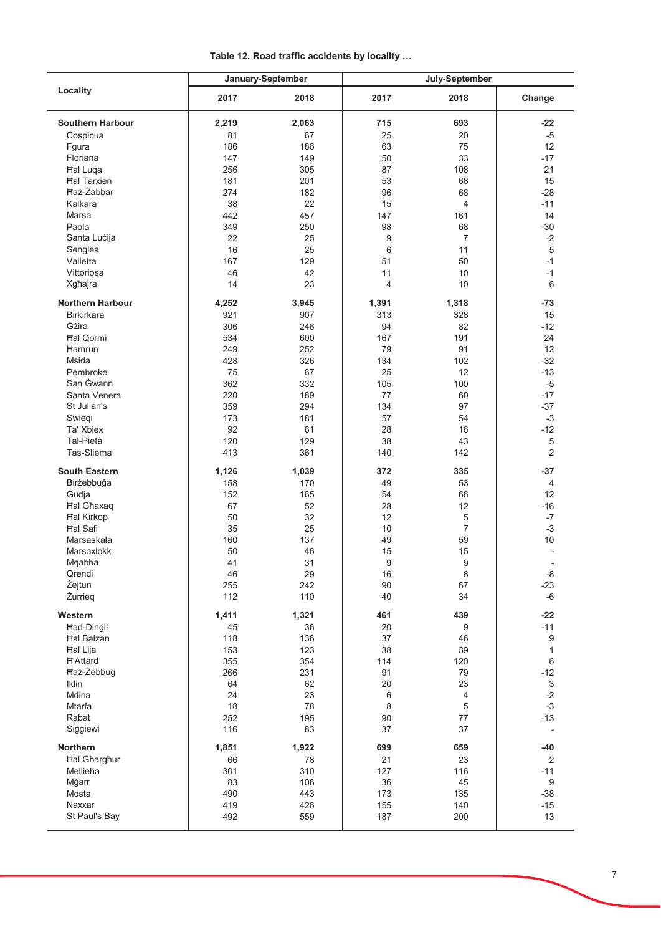Table 12. Road traffic accidents by locality ...

| Locality                | January-September |       | July-September          |                |                          |
|-------------------------|-------------------|-------|-------------------------|----------------|--------------------------|
|                         | 2017              | 2018  | 2017                    | 2018           | Change                   |
| <b>Southern Harbour</b> | 2,219             | 2,063 | 715                     | 693            | $-22$                    |
| Cospicua                | 81                | 67    | 25                      | 20             | $-5$                     |
| Fgura                   | 186               | 186   | 63                      | 75             | 12                       |
| Floriana                | 147               | 149   | 50                      | 33             | $-17$                    |
|                         |                   |       |                         |                |                          |
| <b>Hal Luqa</b>         | 256               | 305   | 87                      | 108            | 21                       |
| <b>Hal Tarxien</b>      | 181               | 201   | 53                      | 68             | 15                       |
| <b>Haż-Żabbar</b>       | 274               | 182   | 96                      | 68             | $-28$                    |
| Kalkara                 | 38                | 22    | 15                      | $\overline{4}$ | $-11$                    |
| Marsa                   | 442               | 457   | 147                     | 161            | 14                       |
| Paola                   | 349               | 250   | 98                      | 68             | $-30$                    |
| Santa Lucija            | 22                | 25    | 9                       | $\overline{7}$ | $-2$                     |
|                         |                   |       |                         |                |                          |
| Senglea                 | 16                | 25    | $6\phantom{1}$          | 11             | 5                        |
| Valletta                | 167               | 129   | 51                      | 50             | $-1$                     |
| Vittoriosa              | 46                | 42    | 11                      | 10             | $-1$                     |
| Xgħajra                 | 14                | 23    | $\overline{\mathbf{4}}$ | 10             | 6                        |
| <b>Northern Harbour</b> | 4,252             | 3,945 | 1,391                   | 1,318          | $-73$                    |
| <b>Birkirkara</b>       | 921               |       |                         |                |                          |
|                         |                   | 907   | 313                     | 328            | 15                       |
| Gżira                   | 306               | 246   | 94                      | 82             | $-12$                    |
| <b>Hal Qormi</b>        | 534               | 600   | 167                     | 191            | 24                       |
| <b>Hamrun</b>           | 249               | 252   | 79                      | 91             | 12                       |
| Msida                   | 428               | 326   | 134                     | 102            | $-32$                    |
| Pembroke                | 75                | 67    | 25                      | 12             | $-13$                    |
| San Gwann               | 362               | 332   | 105                     | 100            | $-5$                     |
| Santa Venera            | 220               | 189   | 77                      |                | $-17$                    |
|                         |                   |       |                         | 60             |                          |
| St Julian's             | 359               | 294   | 134                     | 97             | $-37$                    |
| Swiegi                  | 173               | 181   | 57                      | 54             | $-3$                     |
| Ta' Xbiex               | 92                | 61    | 28                      | 16             | $-12$                    |
| Tal-Pietà               | 120               | 129   | 38                      | 43             | $\,$ 5 $\,$              |
| Tas-Sliema              | 413               | 361   | 140                     | 142            | 2                        |
| <b>South Eastern</b>    | 1,126             | 1,039 | 372                     | 335            | $-37$                    |
|                         |                   |       |                         |                |                          |
| Birżebbuġa              | 158               | 170   | 49                      | 53             | 4                        |
| Gudja                   | 152               | 165   | 54                      | 66             | 12                       |
| <b>Hal Ghaxaq</b>       | 67                | 52    | 28                      | 12             | $-16$                    |
| <b>Hal Kirkop</b>       | 50                | 32    | 12                      | 5              | $-7$                     |
| Hal Safi                | 35                | 25    | 10                      | $\overline{7}$ | $-3$                     |
| Marsaskala              | 160               | 137   | 49                      | 59             | 10                       |
| Marsaxlokk              | 50                | 46    | 15                      | 15             | $\overline{\phantom{a}}$ |
| Mqabba                  | 41                | 31    | 9                       | 9              |                          |
| Qrendi                  |                   |       |                         |                |                          |
|                         | 46                | 29    | 16                      | 8              | -8                       |
| Żejtun                  | 255               | 242   | 90                      | 67             | $-23$                    |
| Żurrieg                 | 112               | 110   | 40                      | 34             | $-6$                     |
| Western                 | 1,411             | 1,321 | 461                     | 439            | $-22$                    |
| <b>Had-Dingli</b>       | 45                | 36    | 20                      | 9              | $-11$                    |
| <b>Hal Balzan</b>       | 118               | 136   | 37                      | 46             | 9                        |
|                         | 153               | 123   | 38                      |                | $\mathbf{1}$             |
| <b>Hal Lija</b>         |                   |       |                         | 39             |                          |
| <b>H'Attard</b>         | 355               | 354   | 114                     | 120            | 6                        |
| Haż-Żebbuġ              | 266               | 231   | 91                      | 79             | $-12$                    |
| Iklin                   | 64                | 62    | 20                      | 23             | $\mathfrak{S}$           |
| Mdina                   | 24                | 23    | 6                       | 4              | $-2$                     |
| Mtarfa                  | 18                | 78    | 8                       | 5              | $-3$                     |
| Rabat                   | 252               | 195   | 90                      | 77             | $-13$                    |
| Siģģiewi                | 116               | 83    | 37                      | 37             |                          |
|                         |                   |       |                         |                |                          |
| Northern                | 1,851             | 1,922 | 699                     | 659            | $-40$                    |
| <b>Hal Gharghur</b>     | 66                | 78    | 21                      | 23             | $\overline{2}$           |
| Mellieħa                | 301               | 310   | 127                     | 116            | $-11$                    |
| Mġarr                   | 83                | 106   | 36                      | 45             | $\boldsymbol{9}$         |
| Mosta                   | 490               | 443   | 173                     | 135            | $-38$                    |
| Naxxar                  | 419               | 426   | 155                     | 140            | $-15$                    |
| St Paul's Bay           |                   |       | 187                     |                | 13                       |
|                         | 492               | 559   |                         | 200            |                          |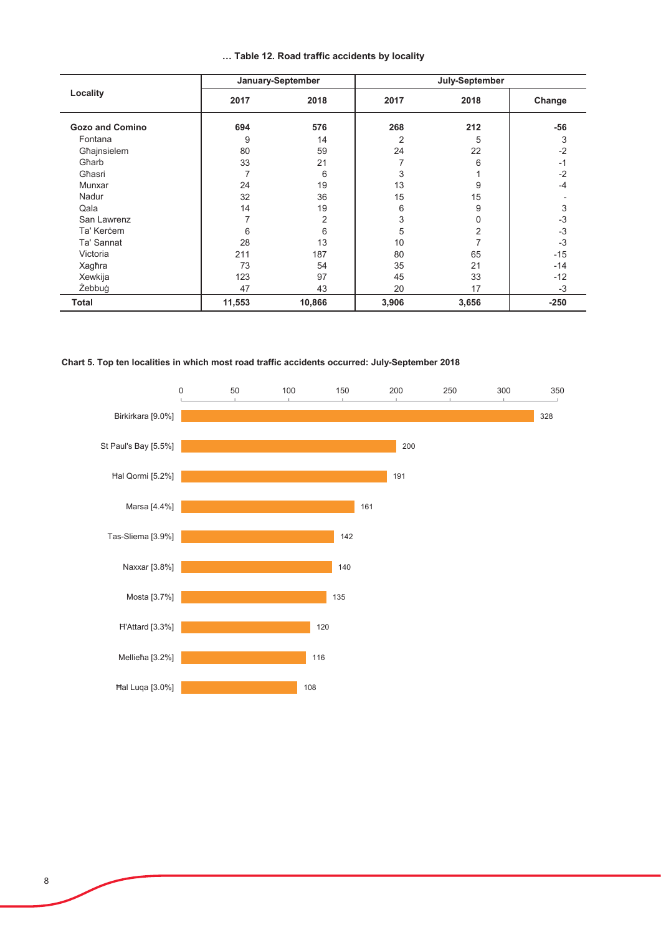|  |  |  |  |  | Table 12. Road traffic accidents by locality |  |  |
|--|--|--|--|--|----------------------------------------------|--|--|
|--|--|--|--|--|----------------------------------------------|--|--|

| Locality               | January-September |        | July-September |       |        |  |
|------------------------|-------------------|--------|----------------|-------|--------|--|
|                        | 2017              | 2018   | 2017           | 2018  | Change |  |
| <b>Gozo and Comino</b> | 694               | 576    | 268            | 212   | $-56$  |  |
| Fontana                | 9                 | 14     | $\overline{2}$ | 5     | 3      |  |
| Għajnsielem            | 80                | 59     | 24             | 22    | $-2$   |  |
| Gharb                  | 33                | 21     |                | 6     | $-1$   |  |
| Għasri                 | 7                 | 6      | 3              |       | $-2$   |  |
| Munxar                 | 24                | 19     | 13             | 9     | $-4$   |  |
| Nadur                  | 32                | 36     | 15             | 15    |        |  |
| Qala                   | 14                | 19     | 6              | 9     | 3      |  |
| San Lawrenz            | 7                 | 2      | 3              | 0     | $-3$   |  |
| Ta' Kercem             | 6                 | 6      | 5              | 2     | $-3$   |  |
| Ta' Sannat             | 28                | 13     | 10             |       | $-3$   |  |
| Victoria               | 211               | 187    | 80             | 65    | $-15$  |  |
| Xaghra                 | 73                | 54     | 35             | 21    | $-14$  |  |
| Xewkija                | 123               | 97     | 45             | 33    | $-12$  |  |
| Żebbuġ                 | 47                | 43     | 20             | 17    | $-3$   |  |
| Total                  | 11,553            | 10,866 | 3,906          | 3,656 | $-250$ |  |

# Chart 5. Top ten localities in which most road traffic accidents occurred: July-September 2018